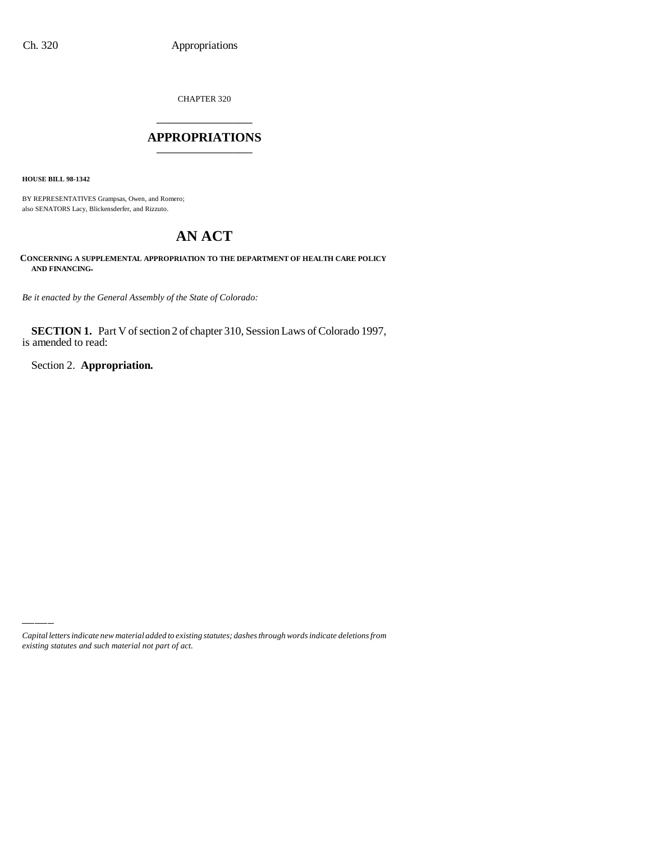CHAPTER 320 \_\_\_\_\_\_\_\_\_\_\_\_\_\_\_

#### **APPROPRIATIONS** \_\_\_\_\_\_\_\_\_\_\_\_\_\_\_

**HOUSE BILL 98-1342**

BY REPRESENTATIVES Grampsas, Owen, and Romero; also SENATORS Lacy, Blickensderfer, and Rizzuto.

# **AN ACT**

**CONCERNING A SUPPLEMENTAL APPROPRIATION TO THE DEPARTMENT OF HEALTH CARE POLICY AND FINANCING.**

*Be it enacted by the General Assembly of the State of Colorado:*

**SECTION 1.** Part V of section 2 of chapter 310, Session Laws of Colorado 1997, is amended to read:

Section 2. **Appropriation.**

*Capital letters indicate new material added to existing statutes; dashes through words indicate deletions from existing statutes and such material not part of act.*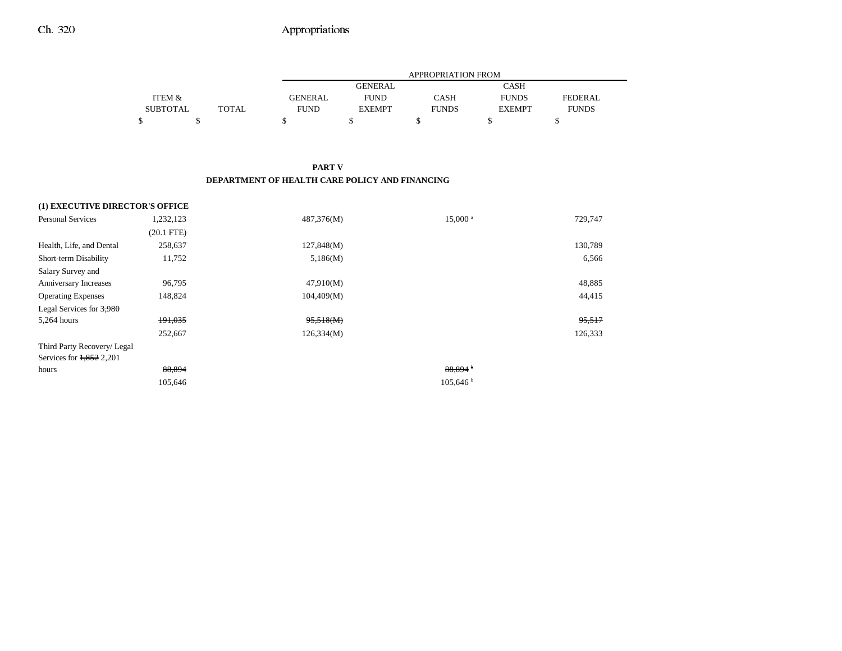|                 |       |                | <b>APPROPRIATION FROM</b> |              |               |              |  |  |
|-----------------|-------|----------------|---------------------------|--------------|---------------|--------------|--|--|
|                 |       |                | <b>GENERAL</b>            |              | CASH          |              |  |  |
| ITEM &          |       | <b>GENERAL</b> | <b>FUND</b>               | CASH         | <b>FUNDS</b>  | FEDERAL.     |  |  |
| <b>SUBTOTAL</b> | TOTAL | <b>FUND</b>    | <b>EXEMPT</b>             | <b>FUNDS</b> | <b>EXEMPT</b> | <b>FUNDS</b> |  |  |
|                 |       |                |                           |              |               |              |  |  |

#### **PART V DEPARTMENT OF HEALTH CARE POLICY AND FINANCING**

| (1) EXECUTIVE DIRECTOR'S OFFICE |              |            |                       |         |
|---------------------------------|--------------|------------|-----------------------|---------|
| <b>Personal Services</b>        | 1,232,123    | 487,376(M) | $15,000$ <sup>a</sup> | 729,747 |
|                                 | $(20.1$ FTE) |            |                       |         |
| Health, Life, and Dental        | 258,637      | 127,848(M) |                       | 130,789 |
| Short-term Disability           | 11,752       | 5,186(M)   |                       | 6,566   |
| Salary Survey and               |              |            |                       |         |
| Anniversary Increases           | 96,795       | 47,910(M)  |                       | 48,885  |
| <b>Operating Expenses</b>       | 148,824      | 104,409(M) |                       | 44,415  |
| Legal Services for 3,980        |              |            |                       |         |
| 5,264 hours                     | 191,035      | 95,518(M)  |                       | 95,517  |
|                                 | 252,667      | 126,334(M) |                       | 126,333 |
| Third Party Recovery/ Legal     |              |            |                       |         |
| Services for 1,852 2,201        |              |            |                       |         |
| hours                           | 88,894       |            | 88.894 <sup>b</sup>   |         |
|                                 | 105,646      |            | 105,646 h             |         |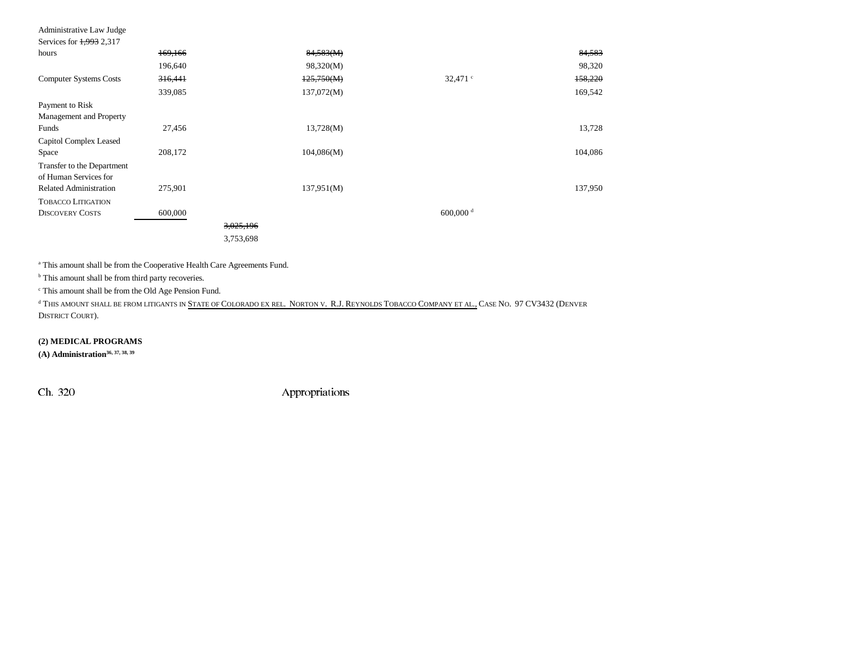| Services for 1,993 2,317      |         |           |            |                    |         |
|-------------------------------|---------|-----------|------------|--------------------|---------|
| hours                         | 169,166 |           | 84,583(M)  |                    | 84,583  |
|                               | 196,640 |           | 98,320(M)  |                    | 98,320  |
| <b>Computer Systems Costs</b> | 316,441 |           | 125,750(M) | $32,471$ $\degree$ | 158,220 |
|                               | 339,085 |           | 137,072(M) |                    | 169,542 |
| Payment to Risk               |         |           |            |                    |         |
| Management and Property       |         |           |            |                    |         |
| Funds                         | 27,456  |           | 13,728(M)  |                    | 13,728  |
| Capitol Complex Leased        |         |           |            |                    |         |
| Space                         | 208,172 |           | 104,086(M) |                    | 104,086 |
| Transfer to the Department    |         |           |            |                    |         |
| of Human Services for         |         |           |            |                    |         |
| <b>Related Administration</b> | 275,901 |           | 137,951(M) |                    | 137,950 |
| <b>TOBACCO LITIGATION</b>     |         |           |            |                    |         |
| <b>DISCOVERY COSTS</b>        | 600,000 |           |            | 600,000 $^{\rm d}$ |         |
|                               |         | 3,025,196 |            |                    |         |
|                               |         | 3,753,698 |            |                    |         |

a This amount shall be from the Cooperative Health Care Agreements Fund.

<sup>b</sup> This amount shall be from third party recoveries.

c This amount shall be from the Old Age Pension Fund.

d This amount shall be from litigants in State of Colorado ex rel. Norton v. R.J. Reynolds Tobacco Company et al., Case No. 97 CV3432 (Denver DISTRICT COURT).

**(2) MEDICAL PROGRAMS**

**(A) Administration36, 37, 38, 39**

Administrative Law Judge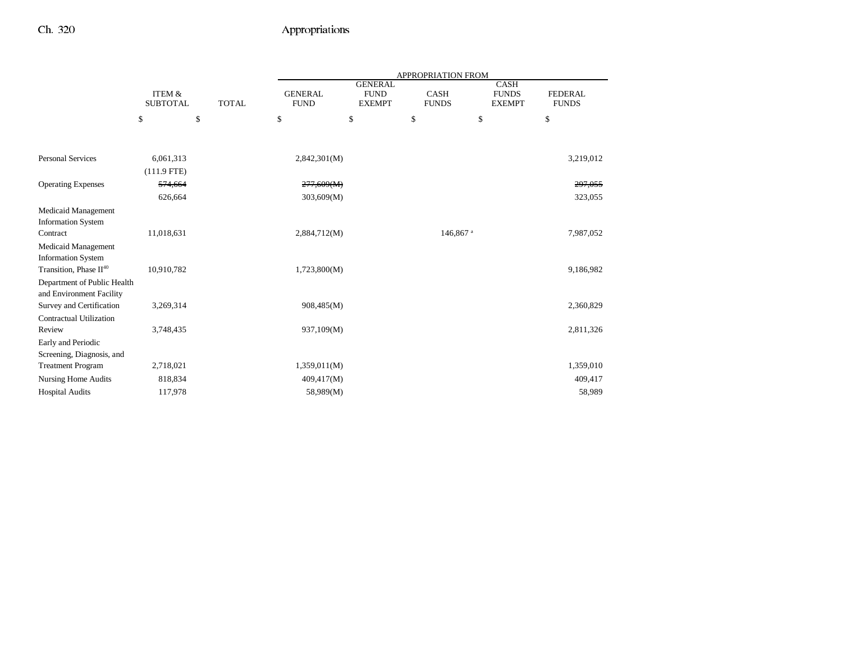|                                                         |                                      |              | APPROPRIATION FROM            |                                                |                             |                                              |                                |  |
|---------------------------------------------------------|--------------------------------------|--------------|-------------------------------|------------------------------------------------|-----------------------------|----------------------------------------------|--------------------------------|--|
|                                                         | <b>ITEM &amp;</b><br><b>SUBTOTAL</b> | <b>TOTAL</b> | <b>GENERAL</b><br><b>FUND</b> | <b>GENERAL</b><br><b>FUND</b><br><b>EXEMPT</b> | <b>CASH</b><br><b>FUNDS</b> | <b>CASH</b><br><b>FUNDS</b><br><b>EXEMPT</b> | <b>FEDERAL</b><br><b>FUNDS</b> |  |
|                                                         | \$                                   | \$           | \$                            | \$                                             | \$                          | \$                                           | \$                             |  |
|                                                         |                                      |              |                               |                                                |                             |                                              |                                |  |
| <b>Personal Services</b>                                | 6,061,313                            |              | 2,842,301(M)                  |                                                |                             |                                              | 3,219,012                      |  |
|                                                         | $(111.9$ FTE)                        |              |                               |                                                |                             |                                              |                                |  |
| <b>Operating Expenses</b>                               | 574,664                              |              | 277,609(M)                    |                                                |                             |                                              | 297,055                        |  |
|                                                         | 626,664                              |              | 303,609(M)                    |                                                |                             |                                              | 323,055                        |  |
| Medicaid Management<br><b>Information System</b>        |                                      |              |                               |                                                |                             |                                              |                                |  |
| Contract                                                | 11,018,631                           |              | 2,884,712(M)                  |                                                | 146,867 <sup>a</sup>        |                                              | 7,987,052                      |  |
| Medicaid Management                                     |                                      |              |                               |                                                |                             |                                              |                                |  |
| <b>Information System</b>                               |                                      |              |                               |                                                |                             |                                              |                                |  |
| Transition, Phase II <sup>40</sup>                      | 10,910,782                           |              | 1,723,800(M)                  |                                                |                             |                                              | 9,186,982                      |  |
| Department of Public Health<br>and Environment Facility |                                      |              |                               |                                                |                             |                                              |                                |  |
| Survey and Certification                                | 3,269,314                            |              | 908,485(M)                    |                                                |                             |                                              | 2,360,829                      |  |
| Contractual Utilization                                 |                                      |              |                               |                                                |                             |                                              |                                |  |
| Review                                                  | 3,748,435                            |              | 937,109(M)                    |                                                |                             |                                              | 2,811,326                      |  |
| Early and Periodic                                      |                                      |              |                               |                                                |                             |                                              |                                |  |
| Screening, Diagnosis, and                               |                                      |              |                               |                                                |                             |                                              |                                |  |
| <b>Treatment Program</b>                                | 2,718,021                            |              | 1,359,011(M)                  |                                                |                             |                                              | 1,359,010                      |  |
| <b>Nursing Home Audits</b>                              | 818,834                              |              | 409,417(M)                    |                                                |                             |                                              | 409,417                        |  |
| <b>Hospital Audits</b>                                  | 117,978                              |              | 58,989(M)                     |                                                |                             |                                              | 58,989                         |  |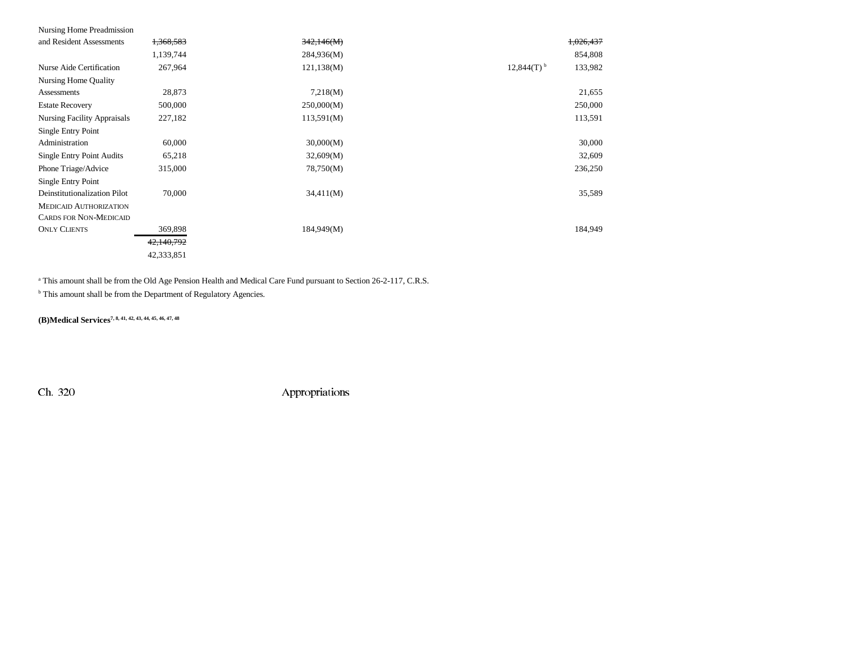| Nursing Home Preadmission          |            |            |                                     |
|------------------------------------|------------|------------|-------------------------------------|
| and Resident Assessments           | 1,368,583  | 342,146(M) | 1,026,437                           |
|                                    | 1,139,744  | 284,936(M) | 854,808                             |
| Nurse Aide Certification           | 267,964    | 121,138(M) | $12,844(T)$ <sup>b</sup><br>133,982 |
| Nursing Home Quality               |            |            |                                     |
| Assessments                        | 28,873     | 7,218(M)   | 21,655                              |
| <b>Estate Recovery</b>             | 500,000    | 250,000(M) | 250,000                             |
| <b>Nursing Facility Appraisals</b> | 227,182    | 113,591(M) | 113,591                             |
| Single Entry Point                 |            |            |                                     |
| Administration                     | 60,000     | 30,000(M)  | 30,000                              |
| <b>Single Entry Point Audits</b>   | 65,218     | 32,609(M)  | 32,609                              |
| Phone Triage/Advice                | 315,000    | 78,750(M)  | 236,250                             |
| Single Entry Point                 |            |            |                                     |
| Deinstitutionalization Pilot       | 70,000     | 34,411(M)  | 35,589                              |
| <b>MEDICAID AUTHORIZATION</b>      |            |            |                                     |
| <b>CARDS FOR NON-MEDICAID</b>      |            |            |                                     |
| <b>ONLY CLIENTS</b>                | 369,898    | 184,949(M) | 184,949                             |
|                                    | 42,140,792 |            |                                     |
|                                    | 42,333,851 |            |                                     |

<sup>a</sup> This amount shall be from the Old Age Pension Health and Medical Care Fund pursuant to Section 26-2-117, C.R.S.

 $^{\rm b}$  This amount shall be from the Department of Regulatory Agencies.

**(B)Medical Services7, 8, 41, 42, 43, 44, 45, 46, 47, 48**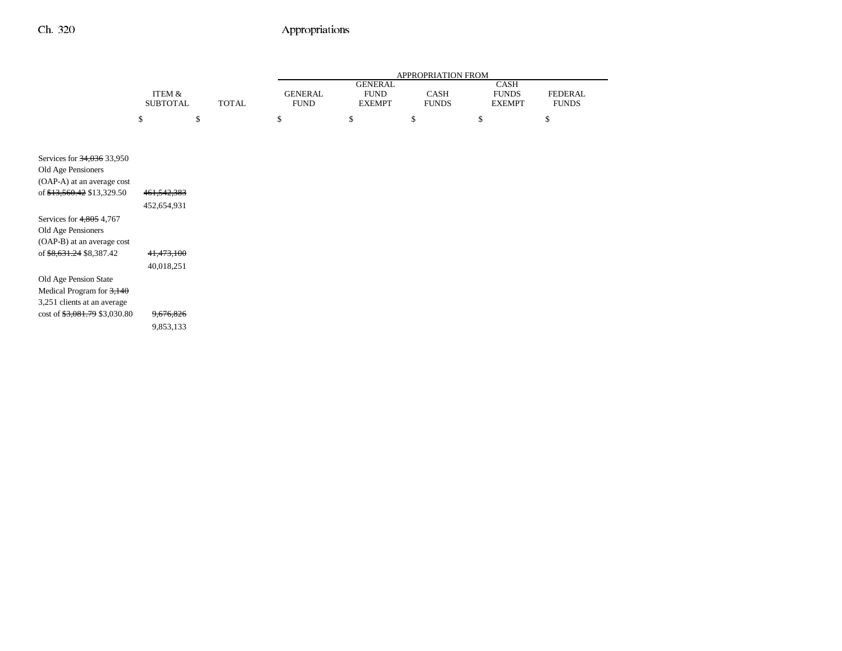|                                                                                   |                           |              |                               |                                                | APPROPRIATION FROM   |                                              |                                |
|-----------------------------------------------------------------------------------|---------------------------|--------------|-------------------------------|------------------------------------------------|----------------------|----------------------------------------------|--------------------------------|
|                                                                                   | ITEM &<br><b>SUBTOTAL</b> | <b>TOTAL</b> | <b>GENERAL</b><br><b>FUND</b> | <b>GENERAL</b><br><b>FUND</b><br><b>EXEMPT</b> | CASH<br><b>FUNDS</b> | <b>CASH</b><br><b>FUNDS</b><br><b>EXEMPT</b> | <b>FEDERAL</b><br><b>FUNDS</b> |
|                                                                                   | \$                        | \$           | \$                            | \$                                             | \$                   | \$                                           | \$                             |
|                                                                                   |                           |              |                               |                                                |                      |                                              |                                |
| Services for 34,036 33,950<br>Old Age Pensioners<br>(OAP-A) at an average cost    |                           |              |                               |                                                |                      |                                              |                                |
| of \$13,560.42 \$13,329.50                                                        | 461, 542, 383             |              |                               |                                                |                      |                                              |                                |
|                                                                                   | 452,654,931               |              |                               |                                                |                      |                                              |                                |
| Services for 4,805 4,767<br>Old Age Pensioners<br>(OAP-B) at an average cost      |                           |              |                               |                                                |                      |                                              |                                |
| of \$8,631.24 \$8,387.42                                                          | 41,473,100                |              |                               |                                                |                      |                                              |                                |
|                                                                                   | 40,018,251                |              |                               |                                                |                      |                                              |                                |
| Old Age Pension State<br>Medical Program for 3,140<br>3,251 clients at an average |                           |              |                               |                                                |                      |                                              |                                |
| $\cot 6$ \$3,081.79 \$3,030.80                                                    | 9,676,826                 |              |                               |                                                |                      |                                              |                                |
|                                                                                   | 9,853,133                 |              |                               |                                                |                      |                                              |                                |
|                                                                                   |                           |              |                               |                                                |                      |                                              |                                |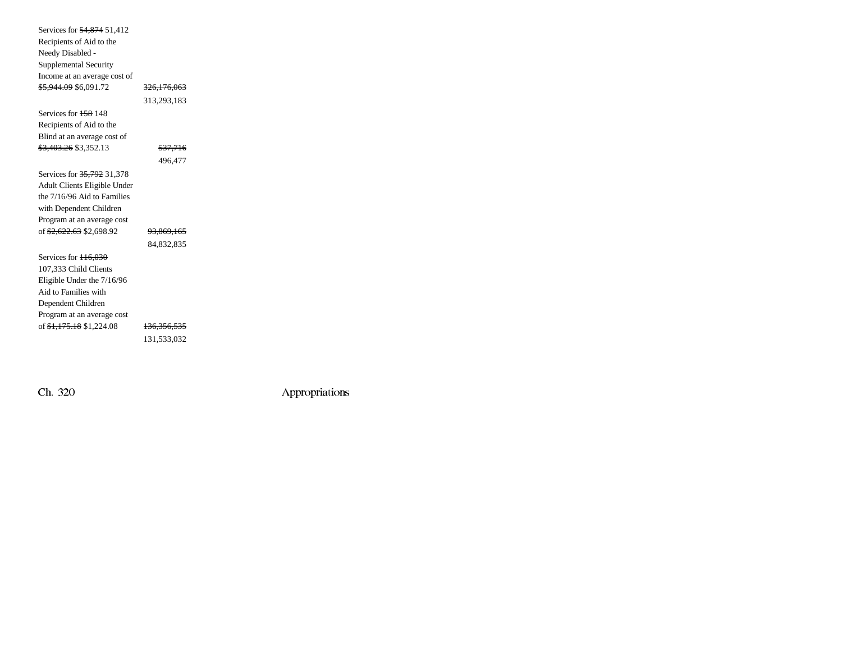| Services for 54,874 51,412          |                        |  |
|-------------------------------------|------------------------|--|
| Recipients of Aid to the            |                        |  |
| Needy Disabled -                    |                        |  |
| Supplemental Security               |                        |  |
| Income at an average cost of        |                        |  |
| <del>\$5,944.09</del> \$6,091.72    | <del>326,176,063</del> |  |
|                                     | 313,293,183            |  |
| Services for 158 148                |                        |  |
| Recipients of Aid to the            |                        |  |
| Blind at an average cost of         |                        |  |
| \$3,403.26 \$3,352.13               | <del>537,716</del>     |  |
|                                     | 496,477                |  |
| Services for 35,792 31,378          |                        |  |
| <b>Adult Clients Eligible Under</b> |                        |  |
| the 7/16/96 Aid to Families         |                        |  |
| with Dependent Children             |                        |  |
| Program at an average cost          |                        |  |
| of <del>\$2,622.63</del> \$2,698.92 | <del>93,869,165</del>  |  |
|                                     | 84,832,835             |  |
| Services for 116.030                |                        |  |
| 107,333 Child Clients               |                        |  |
| Eligible Under the 7/16/96          |                        |  |
| Aid to Families with                |                        |  |
| Dependent Children                  |                        |  |
| Program at an average cost          |                        |  |
| of <del>\$1,175.18</del> \$1,224.08 | <del>136,356,535</del> |  |
|                                     | 131,533,032            |  |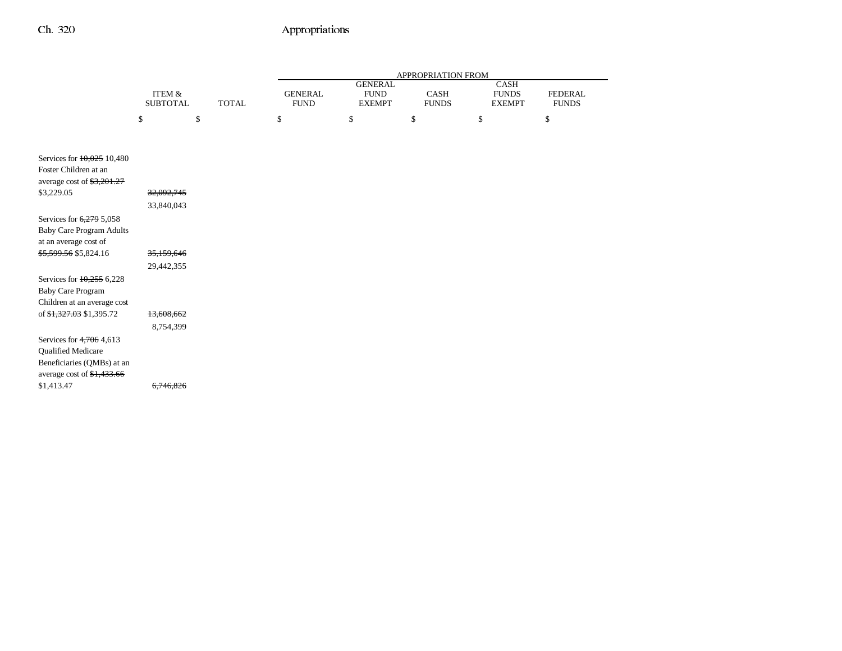|                                                                                                                               |                                      |              | APPROPRIATION FROM            |                                                |                      |                                       |                                |
|-------------------------------------------------------------------------------------------------------------------------------|--------------------------------------|--------------|-------------------------------|------------------------------------------------|----------------------|---------------------------------------|--------------------------------|
|                                                                                                                               | <b>ITEM &amp;</b><br><b>SUBTOTAL</b> | <b>TOTAL</b> | <b>GENERAL</b><br><b>FUND</b> | <b>GENERAL</b><br><b>FUND</b><br><b>EXEMPT</b> | CASH<br><b>FUNDS</b> | CASH<br><b>FUNDS</b><br><b>EXEMPT</b> | <b>FEDERAL</b><br><b>FUNDS</b> |
|                                                                                                                               | \$                                   | \$           | \$                            | \$                                             | \$                   | \$                                    | \$                             |
|                                                                                                                               |                                      |              |                               |                                                |                      |                                       |                                |
| Services for 10,025 10,480<br>Foster Children at an<br>average cost of $\frac{$3,201.27}{5}$                                  |                                      |              |                               |                                                |                      |                                       |                                |
| \$3,229.05                                                                                                                    | 32,092,745                           |              |                               |                                                |                      |                                       |                                |
|                                                                                                                               | 33,840,043                           |              |                               |                                                |                      |                                       |                                |
| Services for 6,279 5,058<br><b>Baby Care Program Adults</b><br>at an average cost of                                          |                                      |              |                               |                                                |                      |                                       |                                |
| \$5,599.56 \$5,824.16                                                                                                         | 35,159,646                           |              |                               |                                                |                      |                                       |                                |
|                                                                                                                               | 29,442,355                           |              |                               |                                                |                      |                                       |                                |
| Services for $10,255$ 6,228<br><b>Baby Care Program</b><br>Children at an average cost                                        |                                      |              |                               |                                                |                      |                                       |                                |
| of \$1,327.03 \$1,395.72                                                                                                      | 13,608,662                           |              |                               |                                                |                      |                                       |                                |
|                                                                                                                               | 8,754,399                            |              |                               |                                                |                      |                                       |                                |
| Services for $4,706$ 4,613<br><b>Qualified Medicare</b><br>Beneficiaries (QMBs) at an<br>average cost of $\frac{1,433.66}{2}$ |                                      |              |                               |                                                |                      |                                       |                                |
| \$1,413.47                                                                                                                    | 6.746.826                            |              |                               |                                                |                      |                                       |                                |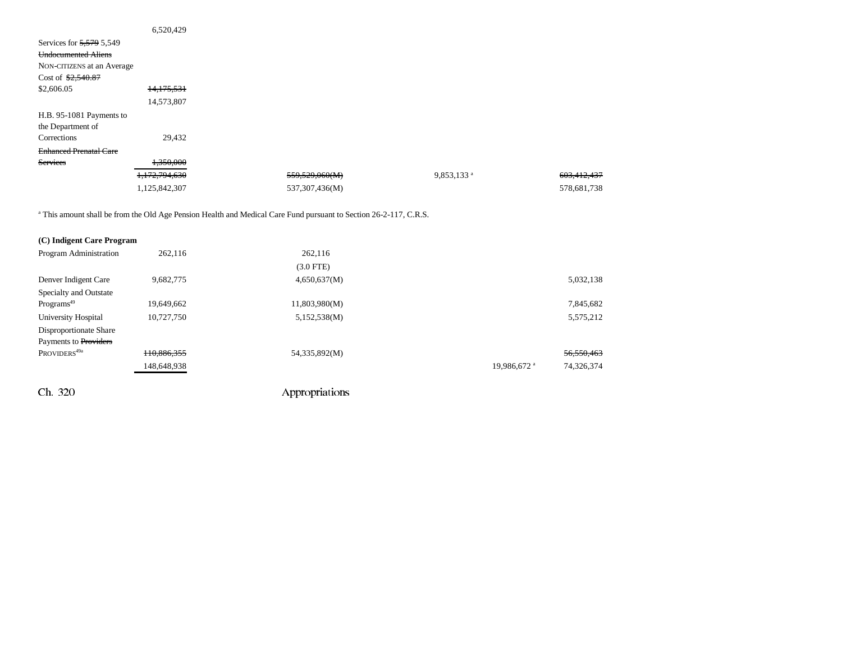|                               | 6,520,429     |                |                        |             |
|-------------------------------|---------------|----------------|------------------------|-------------|
| Services for 5,579 5,549      |               |                |                        |             |
| <b>Undocumented Aliens</b>    |               |                |                        |             |
| NON-CITIZENS at an Average    |               |                |                        |             |
| Cost of $$2,540.87$           |               |                |                        |             |
| \$2,606.05                    | 14,175,531    |                |                        |             |
|                               | 14,573,807    |                |                        |             |
| H.B. 95-1081 Payments to      |               |                |                        |             |
| the Department of             |               |                |                        |             |
| Corrections                   | 29,432        |                |                        |             |
| <b>Enhanced Prenatal Care</b> |               |                |                        |             |
| Services                      | 1,350,000     |                |                        |             |
|                               | 1,172,794,630 | 559,529,060(M) | 9,853,133 <sup>a</sup> | 603,412,437 |
|                               | 1,125,842,307 | 537,307,436(M) |                        | 578,681,738 |

<sup>a</sup> This amount shall be from the Old Age Pension Health and Medical Care Fund pursuant to Section 26-2-117, C.R.S.

| (C) Indigent Care Program |             |               |                         |            |
|---------------------------|-------------|---------------|-------------------------|------------|
| Program Administration    | 262,116     | 262,116       |                         |            |
|                           |             | $(3.0$ FTE)   |                         |            |
| Denver Indigent Care      | 9,682,775   | 4,650,637(M)  |                         | 5,032,138  |
| Specialty and Outstate    |             |               |                         |            |
| Programs <sup>49</sup>    | 19.649.662  | 11,803,980(M) |                         | 7,845,682  |
| University Hospital       | 10.727.750  | 5,152,538(M)  |                         | 5,575,212  |
| Disproportionate Share    |             |               |                         |            |
| Payments to Providers     |             |               |                         |            |
| PROVIDERS <sup>49a</sup>  | 110.886.355 | 54,335,892(M) |                         | 56,550,463 |
|                           | 148,648,938 |               | 19,986,672 <sup>a</sup> | 74,326,374 |
|                           |             |               |                         |            |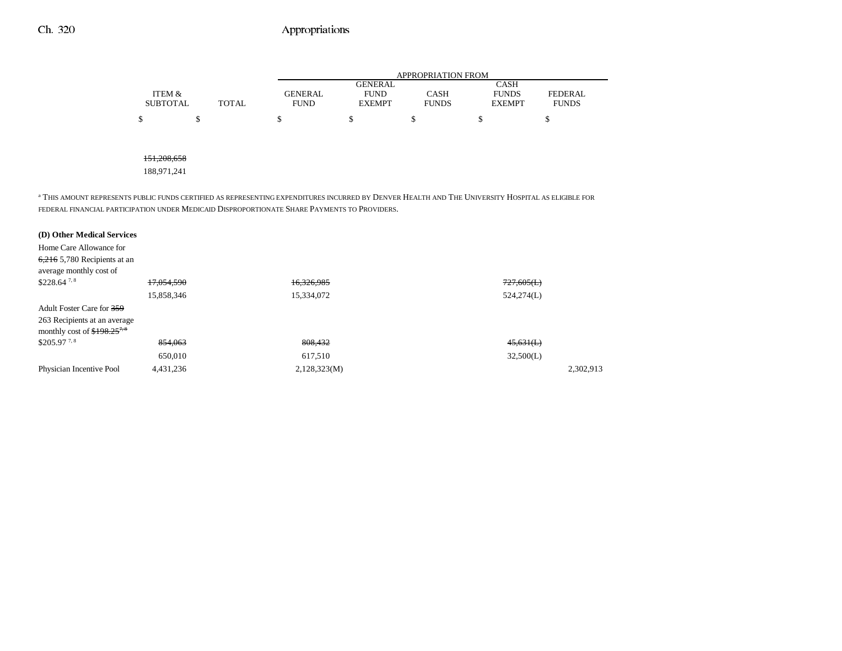|                 |              | APPROPRIATION FROM |                |              |               |                |  |
|-----------------|--------------|--------------------|----------------|--------------|---------------|----------------|--|
|                 |              |                    | <b>GENERAL</b> |              | CASH          |                |  |
| ITEM &          |              | <b>GENERAL</b>     | <b>FUND</b>    | CASH         | <b>FUNDS</b>  | <b>FEDERAL</b> |  |
| <b>SUBTOTAL</b> | <b>TOTAL</b> | FUND               | <b>EXEMPT</b>  | <b>FUNDS</b> | <b>EXEMPT</b> | <b>FUNDS</b>   |  |
| ሖ               |              |                    |                |              |               |                |  |

#### 151,208,658

188,971,241

a THIS AMOUNT REPRESENTS PUBLIC FUNDS CERTIFIED AS REPRESENTING EXPENDITURES INCURRED BY DENVER HEALTH AND THE UNIVERSITY HOSPITAL AS ELIGIBLE FOR FEDERAL FINANCIAL PARTICIPATION UNDER MEDICAID DISPROPORTIONATE SHARE PAYMENTS TO PROVIDERS.

| (D) Other Medical Services      |            |              |            |
|---------------------------------|------------|--------------|------------|
| Home Care Allowance for         |            |              |            |
| $6,216$ 5,780 Recipients at an  |            |              |            |
| average monthly cost of         |            |              |            |
| $$228.64$ <sup>7,8</sup>        | 17.054.590 | 16,326,985   | 727,605(L) |
|                                 | 15,858,346 | 15,334,072   | 524,274(L) |
| Adult Foster Care for 359       |            |              |            |
| 263 Recipients at an average    |            |              |            |
| monthly cost of $$198.25^{7.8}$ |            |              |            |
| \$205.97 <sup>7,8</sup>         | 854.063    | 808,432      | 45,631(L)  |
|                                 | 650,010    | 617,510      | 32,500(L)  |
| Physician Incentive Pool        | 4,431,236  | 2,128,323(M) | 2,302,913  |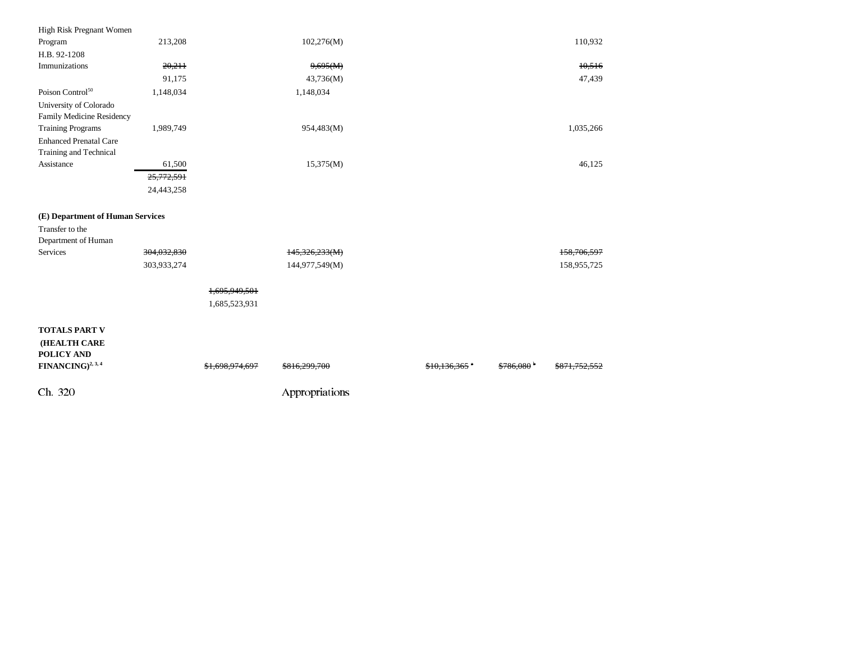| High Risk Pregnant Women                                                                   |             |                |                          |                 |                         |             |  |
|--------------------------------------------------------------------------------------------|-------------|----------------|--------------------------|-----------------|-------------------------|-------------|--|
| Program                                                                                    | 213,208     |                | 102,276(M)               |                 |                         | 110,932     |  |
| H.B. 92-1208                                                                               |             |                |                          |                 |                         |             |  |
| Immunizations                                                                              | 20,211      |                | 9,695(M)                 |                 |                         | 10,516      |  |
|                                                                                            | 91,175      |                | 43,736(M)                |                 |                         | 47,439      |  |
| Poison Control <sup>50</sup>                                                               | 1,148,034   |                | 1,148,034                |                 |                         |             |  |
| University of Colorado<br>Family Medicine Residency<br><b>Training Programs</b>            | 1,989,749   |                | 954,483(M)               |                 |                         | 1,035,266   |  |
| <b>Enhanced Prenatal Care</b><br>Training and Technical                                    |             |                |                          |                 |                         |             |  |
| Assistance                                                                                 | 61,500      |                | 15,375(M)                |                 |                         | 46,125      |  |
|                                                                                            | 25,772,591  |                |                          |                 |                         |             |  |
|                                                                                            | 24,443,258  |                |                          |                 |                         |             |  |
| (E) Department of Human Services<br>Transfer to the                                        |             |                |                          |                 |                         |             |  |
| Department of Human                                                                        |             |                |                          |                 |                         |             |  |
| Services                                                                                   | 304,032,830 |                | 145,326,233(M)           |                 |                         | 158,706,597 |  |
|                                                                                            | 303,933,274 |                | 144,977,549(M)           |                 |                         | 158,955,725 |  |
|                                                                                            |             | 1,695,949,501  |                          |                 |                         |             |  |
|                                                                                            |             | 1,685,523,931  |                          |                 |                         |             |  |
|                                                                                            |             |                |                          |                 |                         |             |  |
| <b>TOTALS PART V</b><br>(HEALTH CARE<br><b>POLICY AND</b><br>FINANCING) <sup>2, 3, 4</sup> |             | \$1,698,974,69 | <del>\$816,299,700</del> | $$10,136,365$ * | $$786,080$ <sup>b</sup> |             |  |
|                                                                                            |             |                |                          |                 |                         |             |  |
| Ch. 320                                                                                    |             |                | Appropriations           |                 |                         |             |  |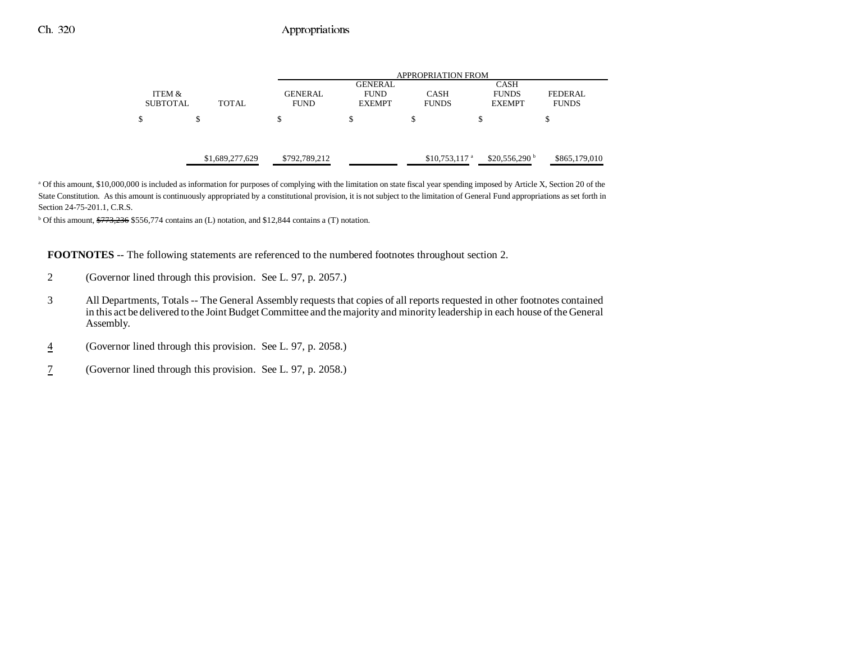|                           |                 | <b>APPROPRIATION FROM</b>     |                              |                             |                               |                          |
|---------------------------|-----------------|-------------------------------|------------------------------|-----------------------------|-------------------------------|--------------------------|
|                           |                 |                               | <b>GENERAL</b>               |                             | <b>CASH</b>                   |                          |
| ITEM &<br><b>SUBTOTAL</b> | <b>TOTAL</b>    | <b>GENERAL</b><br><b>FUND</b> | <b>FUND</b><br><b>EXEMPT</b> | <b>CASH</b><br><b>FUNDS</b> | <b>FUNDS</b><br><b>EXEMPT</b> | FEDERAL.<br><b>FUNDS</b> |
| \$                        | S               | \$                            | \$                           | \$                          | \$                            | S                        |
|                           |                 |                               |                              |                             |                               |                          |
|                           | \$1,689,277,629 | \$792,789,212                 |                              | $$10,753,117$ <sup>a</sup>  | \$20,556,290 $^{\rm b}$       | \$865,179,010            |

<sup>a</sup> Of this amount, \$10,000,000 is included as information for purposes of complying with the limitation on state fiscal year spending imposed by Article X, Section 20 of the State Constitution. As this amount is continuously appropriated by a constitutional provision, it is not subject to the limitation of General Fund appropriations as set forth in Section 24-75-201.1, C.R.S.

<sup>b</sup> Of this amount,  $\frac{$773,236}{72,236}$  \$556,774 contains an (L) notation, and \$12,844 contains a (T) notation.

**FOOTNOTES** -- The following statements are referenced to the numbered footnotes throughout section 2.

- 2 (Governor lined through this provision. See L. 97, p. 2057.)
- 3 All Departments, Totals -- The General Assembly requests that copies of all reports requested in other footnotes contained in this act be delivered to the Joint Budget Committee and the majority and minority leadership in each house of the General Assembly.
- 4(Governor lined through this provision. See L. 97, p. 2058.)
- 7(Governor lined through this provision. See L. 97, p. 2058.)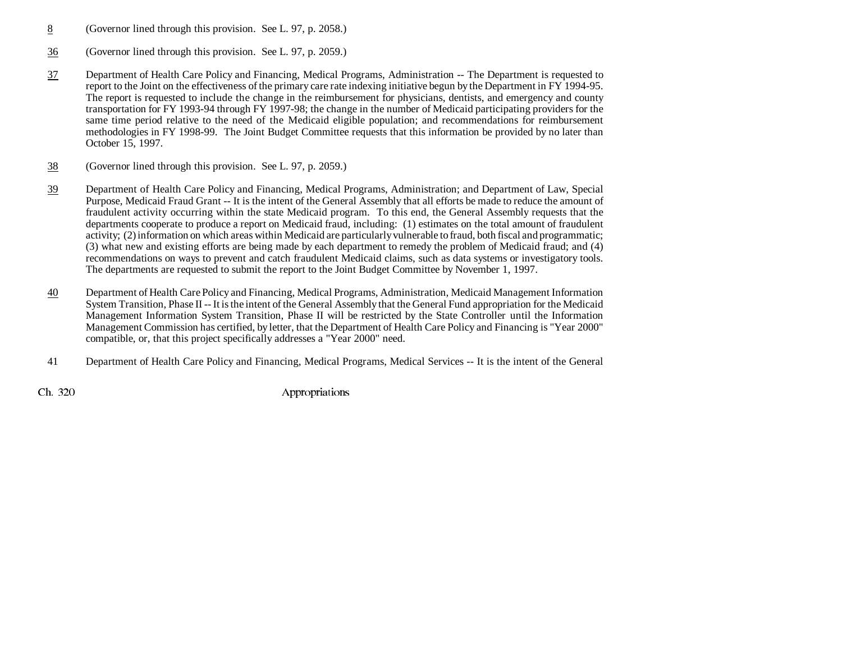- 8(Governor lined through this provision. See L. 97, p. 2058.)
- 36(Governor lined through this provision. See L. 97, p. 2059.)
- 37 Department of Health Care Policy and Financing, Medical Programs, Administration -- The Department is requested to report to the Joint on the effectiveness of the primary care rate indexing initiative begun by the Department in FY 1994-95. The report is requested to include the change in the reimbursement for physicians, dentists, and emergency and county transportation for FY 1993-94 through FY 1997-98; the change in the number of Medicaid participating providers for the same time period relative to the need of the Medicaid eligible population; and recommendations for reimbursement methodologies in FY 1998-99. The Joint Budget Committee requests that this information be provided by no later than October 15, 1997.
- 38(Governor lined through this provision. See L. 97, p. 2059.)
- 39 Department of Health Care Policy and Financing, Medical Programs, Administration; and Department of Law, Special Purpose, Medicaid Fraud Grant -- It is the intent of the General Assembly that all efforts be made to reduce the amount of fraudulent activity occurring within the state Medicaid program. To this end, the General Assembly requests that the departments cooperate to produce a report on Medicaid fraud, including: (1) estimates on the total amount of fraudulent activity; (2) information on which areas within Medicaid are particularly vulnerable to fraud, both fiscal and programmatic; (3) what new and existing efforts are being made by each department to remedy the problem of Medicaid fraud; and (4) recommendations on ways to prevent and catch fraudulent Medicaid claims, such as data systems or investigatory tools. The departments are requested to submit the report to the Joint Budget Committee by November 1, 1997.
- 40 Department of Health Care Policy and Financing, Medical Programs, Administration, Medicaid Management Information System Transition, Phase II -- It is the intent of the General Assembly that the General Fund appropriation for the Medicaid Management Information System Transition, Phase II will be restricted by the State Controller until the Information Management Commission has certified, by letter, that the Department of Health Care Policy and Financing is "Year 2000" compatible, or, that this project specifically addresses a "Year 2000" need.
- 41 Department of Health Care Policy and Financing, Medical Programs, Medical Services -- It is the intent of the General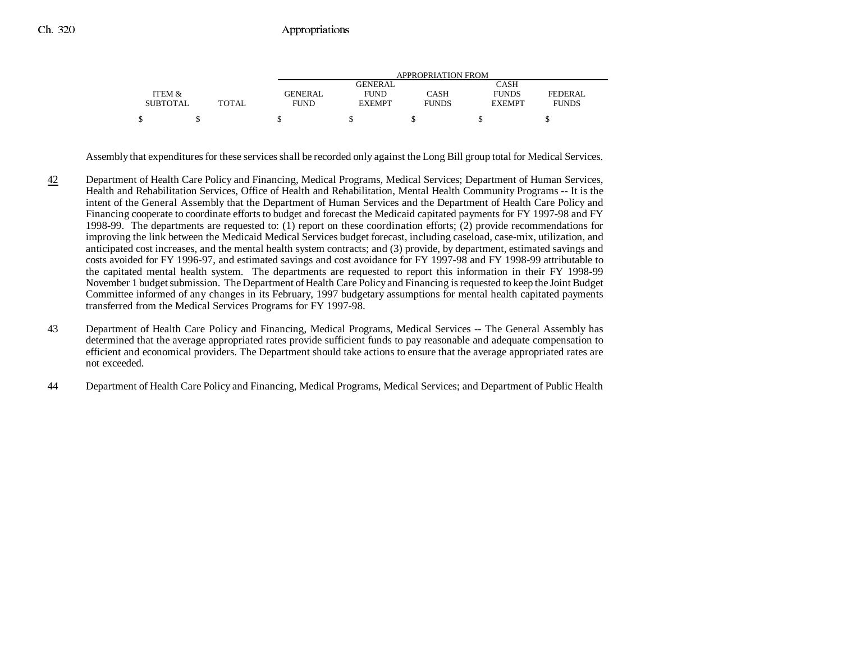|                 |       | APPROPRIATION FROM |               |              |               |              |  |
|-----------------|-------|--------------------|---------------|--------------|---------------|--------------|--|
|                 |       |                    | GENERAL       |              | CASH          |              |  |
| ITEM &          |       | <b>GENERAL</b>     | <b>FUND</b>   | CASH         | <b>FUNDS</b>  | FEDERAL      |  |
| <b>SUBTOTAL</b> | TOTAL | <b>FUND</b>        | <b>EXEMPT</b> | <b>FUNDS</b> | <b>EXEMPT</b> | <b>FUNDS</b> |  |
|                 |       |                    |               |              |               |              |  |

Assembly that expenditures for these services shall be recorded only against the Long Bill group total for Medical Services.

- 42 Department of Health Care Policy and Financing, Medical Programs, Medical Services; Department of Human Services, Health and Rehabilitation Services, Office of Health and Rehabilitation, Mental Health Community Programs -- It is the intent of the General Assembly that the Department of Human Services and the Department of Health Care Policy and Financing cooperate to coordinate efforts to budget and forecast the Medicaid capitated payments for FY 1997-98 and FY 1998-99. The departments are requested to: (1) report on these coordination efforts; (2) provide recommendations for improving the link between the Medicaid Medical Services budget forecast, including caseload, case-mix, utilization, and anticipated cost increases, and the mental health system contracts; and (3) provide, by department, estimated savings and costs avoided for FY 1996-97, and estimated savings and cost avoidance for FY 1997-98 and FY 1998-99 attributable to the capitated mental health system. The departments are requested to report this information in their FY 1998-99 November 1 budget submission. The Department of Health Care Policy and Financing is requested to keep the Joint Budget Committee informed of any changes in its February, 1997 budgetary assumptions for mental health capitated payments transferred from the Medical Services Programs for FY 1997-98.
- 43 Department of Health Care Policy and Financing, Medical Programs, Medical Services -- The General Assembly has determined that the average appropriated rates provide sufficient funds to pay reasonable and adequate compensation to efficient and economical providers. The Department should take actions to ensure that the average appropriated rates are not exceeded.
- 44 Department of Health Care Policy and Financing, Medical Programs, Medical Services; and Department of Public Health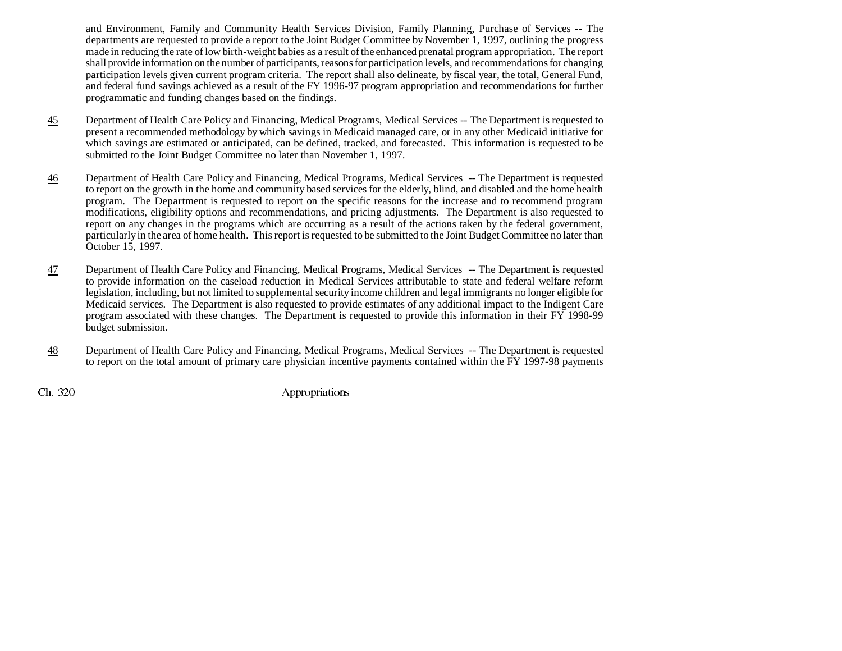and Environment, Family and Community Health Services Division, Family Planning, Purchase of Services -- The departments are requested to provide a report to the Joint Budget Committee by November 1, 1997, outlining the progress made in reducing the rate of low birth-weight babies as a result of the enhanced prenatal program appropriation. The report shall provide information on the number of participants, reasons for participation levels, and recommendations for changing participation levels given current program criteria. The report shall also delineate, by fiscal year, the total, General Fund, and federal fund savings achieved as a result of the FY 1996-97 program appropriation and recommendations for further programmatic and funding changes based on the findings.

- 45 Department of Health Care Policy and Financing, Medical Programs, Medical Services -- The Department is requested to present a recommended methodology by which savings in Medicaid managed care, or in any other Medicaid initiative for which savings are estimated or anticipated, can be defined, tracked, and forecasted. This information is requested to be submitted to the Joint Budget Committee no later than November 1, 1997.
- 46 Department of Health Care Policy and Financing, Medical Programs, Medical Services -- The Department is requested to report on the growth in the home and community based services for the elderly, blind, and disabled and the home health program. The Department is requested to report on the specific reasons for the increase and to recommend program modifications, eligibility options and recommendations, and pricing adjustments. The Department is also requested to report on any changes in the programs which are occurring as a result of the actions taken by the federal government, particularly in the area of home health. This report is requested to be submitted to the Joint Budget Committee no later than October 15, 1997.
- 47 Department of Health Care Policy and Financing, Medical Programs, Medical Services -- The Department is requested to provide information on the caseload reduction in Medical Services attributable to state and federal welfare reform legislation, including, but not limited to supplemental security income children and legal immigrants no longer eligible for Medicaid services. The Department is also requested to provide estimates of any additional impact to the Indigent Care program associated with these changes. The Department is requested to provide this information in their FY 1998-99 budget submission.
- 48 Department of Health Care Policy and Financing, Medical Programs, Medical Services -- The Department is requested to report on the total amount of primary care physician incentive payments contained within the FY 1997-98 payments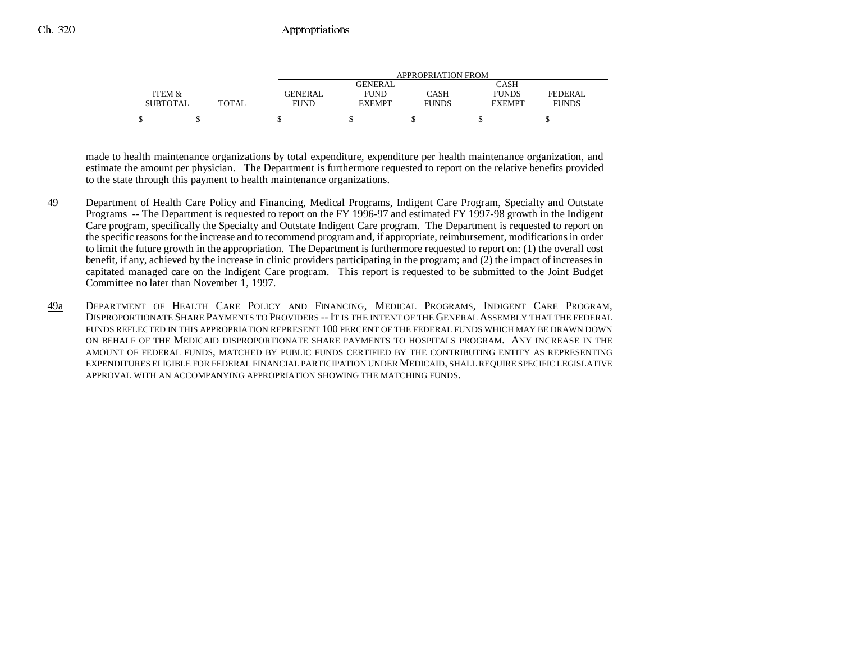|                 |              | APPROPRIATION FROM |                |              |               |              |  |
|-----------------|--------------|--------------------|----------------|--------------|---------------|--------------|--|
|                 |              |                    | <b>GENERAL</b> |              | CASH          |              |  |
| ITEM &          |              | <b>GENERAL</b>     | <b>FUND</b>    | CASH         | <b>FUNDS</b>  | FEDERAL      |  |
| <b>SUBTOTAL</b> | <b>TOTAL</b> | <b>FUND</b>        | <b>EXEMPT</b>  | <b>FUNDS</b> | <b>EXEMPT</b> | <b>FUNDS</b> |  |
|                 |              |                    |                |              |               |              |  |

made to health maintenance organizations by total expenditure, expenditure per health maintenance organization, and estimate the amount per physician. The Department is furthermore requested to report on the relative benefits provided to the state through this payment to health maintenance organizations.

- 49 Department of Health Care Policy and Financing, Medical Programs, Indigent Care Program, Specialty and Outstate Programs -- The Department is requested to report on the FY 1996-97 and estimated FY 1997-98 growth in the Indigent Care program, specifically the Specialty and Outstate Indigent Care program. The Department is requested to report on the specific reasons for the increase and to recommend program and, if appropriate, reimbursement, modifications in order to limit the future growth in the appropriation. The Department is furthermore requested to report on: (1) the overall cost benefit, if any, achieved by the increase in clinic providers participating in the program; and (2) the impact of increases in capitated managed care on the Indigent Care program. This report is requested to be submitted to the Joint Budget Committee no later than November 1, 1997.
- 49a DEPARTMENT OF HEALTH CARE POLICY AND FINANCING, MEDICAL PROGRAMS, INDIGENT CARE PROGRAM, DISPROPORTIONATE SHARE PAYMENTS TO PROVIDERS -- IT IS THE INTENT OF THE GENERAL ASSEMBLY THAT THE FEDERALFUNDS REFLECTED IN THIS APPROPRIATION REPRESENT 100 PERCENT OF THE FEDERAL FUNDS WHICH MAY BE DRAWN DOWNON BEHALF OF THE MEDICAID DISPROPORTIONATE SHARE PAYMENTS TO HOSPITALS PROGRAM. ANY INCREASE IN THEAMOUNT OF FEDERAL FUNDS, MATCHED BY PUBLIC FUNDS CERTIFIED BY THE CONTRIBUTING ENTITY AS REPRESENTING EXPENDITURES ELIGIBLE FOR FEDERAL FINANCIAL PARTICIPATION UNDER MEDICAID, SHALL REQUIRE SPECIFIC LEGISLATIVE APPROVAL WITH AN ACCOMPANYING APPROPRIATION SHOWING THE MATCHING FUNDS.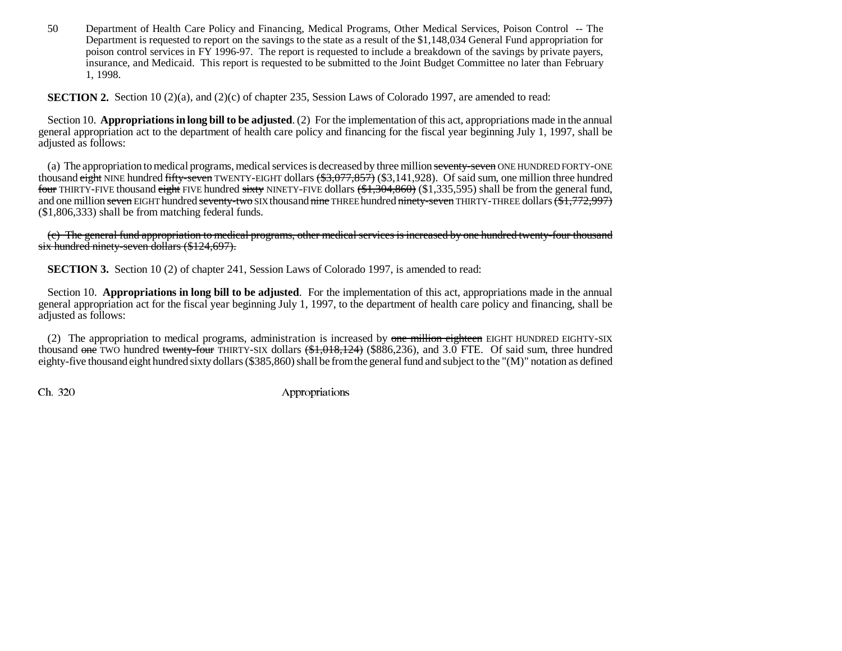50 Department of Health Care Policy and Financing, Medical Programs, Other Medical Services, Poison Control -- The Department is requested to report on the savings to the state as a result of the \$1,148,034 General Fund appropriation for poison control services in FY 1996-97. The report is requested to include a breakdown of the savings by private payers, insurance, and Medicaid. This report is requested to be submitted to the Joint Budget Committee no later than February 1, 1998.

**SECTION 2.** Section 10 (2)(a), and (2)(c) of chapter 235, Session Laws of Colorado 1997, are amended to read:

Section 10. **Appropriations in long bill to be adjusted**. (2) For the implementation of this act, appropriations made in the annual general appropriation act to the department of health care policy and financing for the fiscal year beginning July 1, 1997, shall be adjusted as follows:

(a) The appropriation to medical programs, medical services is decreased by three million seventy-seven ONE HUNDRED FORTY-ONE thousand eight NINE hundred fifty-seven TWENTY-EIGHT dollars  $(\frac{1}{3},077,857)$  (\$3,141,928). Of said sum, one million three hundred <del>four</del> THIRTY-FIVE thousand <del>eight</del> FIVE hundred <del>sixty</del> NINETY-FIVE dollars <del>(\$1,304,860)</del> (\$1,335,595) shall be from the general fund, and one million <del>seven</del> EIGHT hundred <del>seventy-two</del> SIX thousand <del>nine</del> THREE hundred <del>ninety-seven</del> THIRTY-THREE dollars <del>(\$1,772,997)</del> (\$1,806,333) shall be from matching federal funds.

(c) The general fund appropriation to medical programs, other medical services is increased by one hundred twenty-four thousan d six hundred ninety-seven dollars (\$124,697).

**SECTION 3.** Section 10 (2) of chapter 241, Session Laws of Colorado 1997, is amended to read:

Section 10. **Appropriations in long bill to be adjusted**. For the implementation of this act, appropriations made in the annual general appropriation act for the fiscal year beginning July 1, 1997, to the department of health care policy and financing, shall be adjusted as follows:

(2) The appropriation to medical programs, administration is increased by one million eighteen EIGHT HUNDRED EIGHTY-SIX thousand one TWO hundred twenty-four THIRTY-SIX dollars  $(\text{$1,018,124})$  (\$886,236), and 3.0 FTE. Of said sum, three hundred eighty-five thousand eight hundred sixty dollars (\$385,860) shall be from the general fund and subject to the "(M)" notation as defined